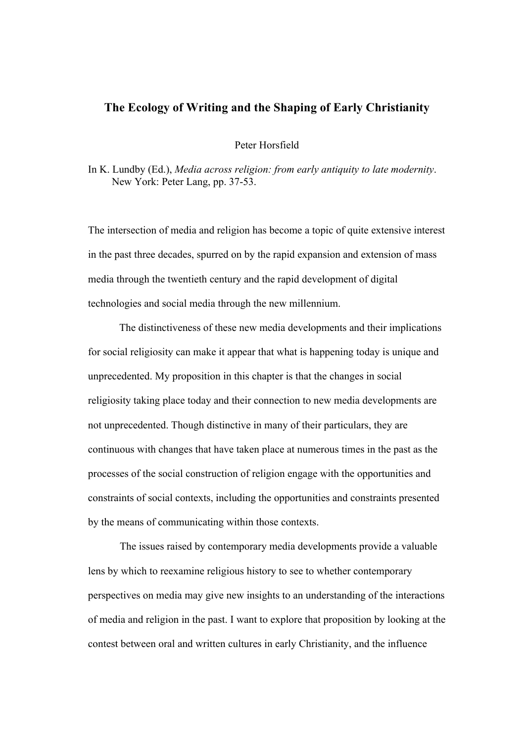## **The Ecology of Writing and the Shaping of Early Christianity**

Peter Horsfield

In K. Lundby (Ed.), *Media across religion: from early antiquity to late modernity*. New York: Peter Lang, pp. 37-53.

The intersection of media and religion has become a topic of quite extensive interest in the past three decades, spurred on by the rapid expansion and extension of mass media through the twentieth century and the rapid development of digital technologies and social media through the new millennium.

The distinctiveness of these new media developments and their implications for social religiosity can make it appear that what is happening today is unique and unprecedented. My proposition in this chapter is that the changes in social religiosity taking place today and their connection to new media developments are not unprecedented. Though distinctive in many of their particulars, they are continuous with changes that have taken place at numerous times in the past as the processes of the social construction of religion engage with the opportunities and constraints of social contexts, including the opportunities and constraints presented by the means of communicating within those contexts.

The issues raised by contemporary media developments provide a valuable lens by which to reexamine religious history to see to whether contemporary perspectives on media may give new insights to an understanding of the interactions of media and religion in the past. I want to explore that proposition by looking at the contest between oral and written cultures in early Christianity, and the influence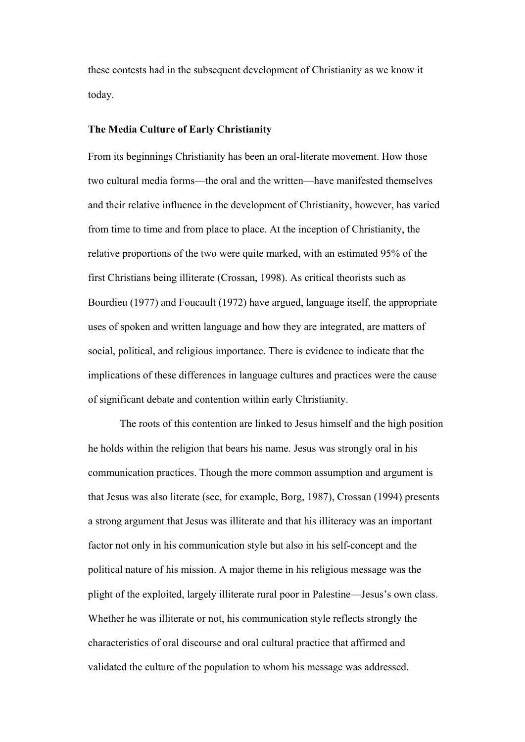these contests had in the subsequent development of Christianity as we know it today.

#### **The Media Culture of Early Christianity**

From its beginnings Christianity has been an oral-literate movement. How those two cultural media forms—the oral and the written—have manifested themselves and their relative influence in the development of Christianity, however, has varied from time to time and from place to place. At the inception of Christianity, the relative proportions of the two were quite marked, with an estimated 95% of the first Christians being illiterate (Crossan, 1998). As critical theorists such as Bourdieu (1977) and Foucault (1972) have argued, language itself, the appropriate uses of spoken and written language and how they are integrated, are matters of social, political, and religious importance. There is evidence to indicate that the implications of these differences in language cultures and practices were the cause of significant debate and contention within early Christianity.

The roots of this contention are linked to Jesus himself and the high position he holds within the religion that bears his name. Jesus was strongly oral in his communication practices. Though the more common assumption and argument is that Jesus was also literate (see, for example, Borg, 1987), Crossan (1994) presents a strong argument that Jesus was illiterate and that his illiteracy was an important factor not only in his communication style but also in his self-concept and the political nature of his mission. A major theme in his religious message was the plight of the exploited, largely illiterate rural poor in Palestine—Jesus's own class. Whether he was illiterate or not, his communication style reflects strongly the characteristics of oral discourse and oral cultural practice that affirmed and validated the culture of the population to whom his message was addressed.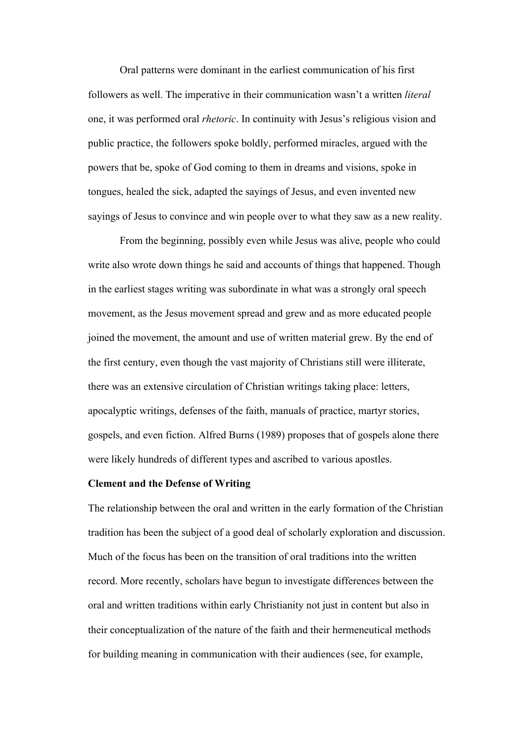Oral patterns were dominant in the earliest communication of his first followers as well. The imperative in their communication wasn't a written *literal* one, it was performed oral *rhetoric*. In continuity with Jesus's religious vision and public practice, the followers spoke boldly, performed miracles, argued with the powers that be, spoke of God coming to them in dreams and visions, spoke in tongues, healed the sick, adapted the sayings of Jesus, and even invented new sayings of Jesus to convince and win people over to what they saw as a new reality.

From the beginning, possibly even while Jesus was alive, people who could write also wrote down things he said and accounts of things that happened. Though in the earliest stages writing was subordinate in what was a strongly oral speech movement, as the Jesus movement spread and grew and as more educated people joined the movement, the amount and use of written material grew. By the end of the first century, even though the vast majority of Christians still were illiterate, there was an extensive circulation of Christian writings taking place: letters, apocalyptic writings, defenses of the faith, manuals of practice, martyr stories, gospels, and even fiction. Alfred Burns (1989) proposes that of gospels alone there were likely hundreds of different types and ascribed to various apostles.

### **Clement and the Defense of Writing**

The relationship between the oral and written in the early formation of the Christian tradition has been the subject of a good deal of scholarly exploration and discussion. Much of the focus has been on the transition of oral traditions into the written record. More recently, scholars have begun to investigate differences between the oral and written traditions within early Christianity not just in content but also in their conceptualization of the nature of the faith and their hermeneutical methods for building meaning in communication with their audiences (see, for example,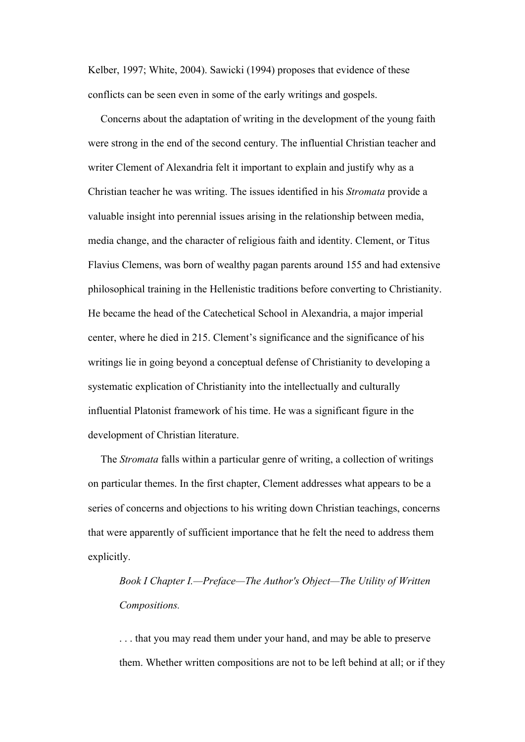Kelber, 1997; White, 2004). Sawicki (1994) proposes that evidence of these conflicts can be seen even in some of the early writings and gospels.

Concerns about the adaptation of writing in the development of the young faith were strong in the end of the second century. The influential Christian teacher and writer Clement of Alexandria felt it important to explain and justify why as a Christian teacher he was writing. The issues identified in his *Stromata* provide a valuable insight into perennial issues arising in the relationship between media, media change, and the character of religious faith and identity. Clement, or Titus Flavius Clemens, was born of wealthy pagan parents around 155 and had extensive philosophical training in the Hellenistic traditions before converting to Christianity. He became the head of the Catechetical School in Alexandria, a major imperial center, where he died in 215. Clement's significance and the significance of his writings lie in going beyond a conceptual defense of Christianity to developing a systematic explication of Christianity into the intellectually and culturally influential Platonist framework of his time. He was a significant figure in the development of Christian literature.

The *Stromata* falls within a particular genre of writing, a collection of writings on particular themes. In the first chapter, Clement addresses what appears to be a series of concerns and objections to his writing down Christian teachings, concerns that were apparently of sufficient importance that he felt the need to address them explicitly.

*Book I Chapter I.—Preface—The Author's Object—The Utility of Written Compositions.* 

. . . that you may read them under your hand, and may be able to preserve them. Whether written compositions are not to be left behind at all; or if they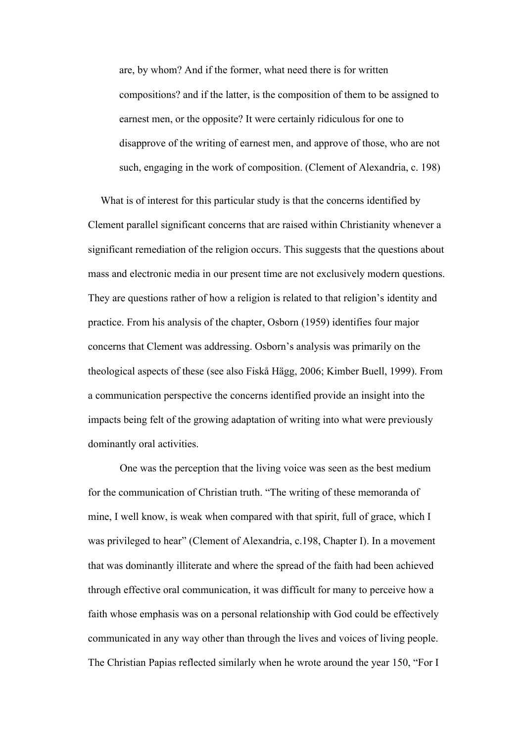are, by whom? And if the former, what need there is for written compositions? and if the latter, is the composition of them to be assigned to earnest men, or the opposite? It were certainly ridiculous for one to disapprove of the writing of earnest men, and approve of those, who are not such, engaging in the work of composition. (Clement of Alexandria, c. 198)

What is of interest for this particular study is that the concerns identified by Clement parallel significant concerns that are raised within Christianity whenever a significant remediation of the religion occurs. This suggests that the questions about mass and electronic media in our present time are not exclusively modern questions. They are questions rather of how a religion is related to that religion's identity and practice. From his analysis of the chapter, Osborn (1959) identifies four major concerns that Clement was addressing. Osborn's analysis was primarily on the theological aspects of these (see also Fiskå Hägg, 2006; Kimber Buell, 1999). From a communication perspective the concerns identified provide an insight into the impacts being felt of the growing adaptation of writing into what were previously dominantly oral activities.

One was the perception that the living voice was seen as the best medium for the communication of Christian truth. "The writing of these memoranda of mine, I well know, is weak when compared with that spirit, full of grace, which I was privileged to hear" (Clement of Alexandria, c.198, Chapter I). In a movement that was dominantly illiterate and where the spread of the faith had been achieved through effective oral communication, it was difficult for many to perceive how a faith whose emphasis was on a personal relationship with God could be effectively communicated in any way other than through the lives and voices of living people. The Christian Papias reflected similarly when he wrote around the year 150, "For I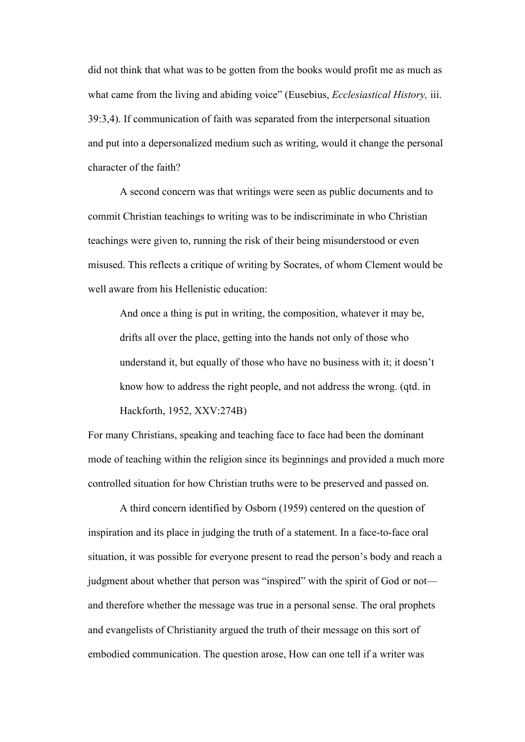did not think that what was to be gotten from the books would profit me as much as what came from the living and abiding voice" (Eusebius, *Ecclesiastical History,* iii. 39:3,4). If communication of faith was separated from the interpersonal situation and put into a depersonalized medium such as writing, would it change the personal character of the faith?

A second concern was that writings were seen as public documents and to commit Christian teachings to writing was to be indiscriminate in who Christian teachings were given to, running the risk of their being misunderstood or even misused. This reflects a critique of writing by Socrates, of whom Clement would be well aware from his Hellenistic education:

And once a thing is put in writing, the composition, whatever it may be, drifts all over the place, getting into the hands not only of those who understand it, but equally of those who have no business with it; it doesn't know how to address the right people, and not address the wrong. (qtd. in Hackforth, 1952, XXV:274B)

For many Christians, speaking and teaching face to face had been the dominant mode of teaching within the religion since its beginnings and provided a much more controlled situation for how Christian truths were to be preserved and passed on.

A third concern identified by Osborn (1959) centered on the question of inspiration and its place in judging the truth of a statement. In a face-to-face oral situation, it was possible for everyone present to read the person's body and reach a judgment about whether that person was "inspired" with the spirit of God or not and therefore whether the message was true in a personal sense. The oral prophets and evangelists of Christianity argued the truth of their message on this sort of embodied communication. The question arose, How can one tell if a writer was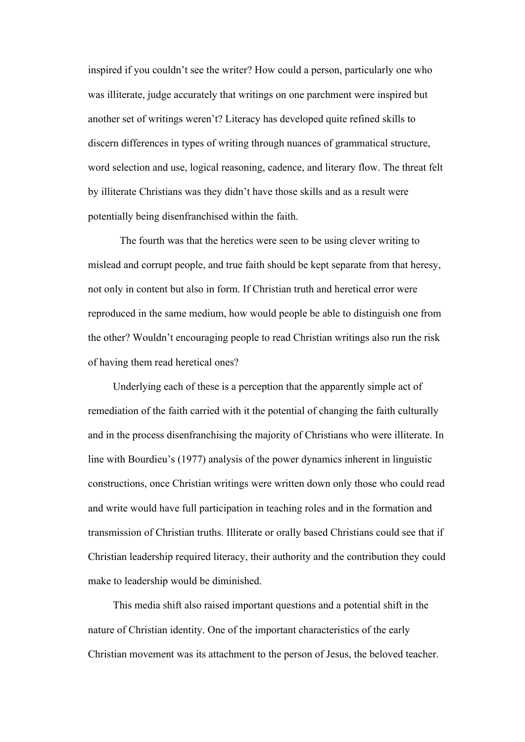inspired if you couldn't see the writer? How could a person, particularly one who was illiterate, judge accurately that writings on one parchment were inspired but another set of writings weren't? Literacy has developed quite refined skills to discern differences in types of writing through nuances of grammatical structure, word selection and use, logical reasoning, cadence, and literary flow. The threat felt by illiterate Christians was they didn't have those skills and as a result were potentially being disenfranchised within the faith.

The fourth was that the heretics were seen to be using clever writing to mislead and corrupt people, and true faith should be kept separate from that heresy, not only in content but also in form. If Christian truth and heretical error were reproduced in the same medium, how would people be able to distinguish one from the other? Wouldn't encouraging people to read Christian writings also run the risk of having them read heretical ones?

Underlying each of these is a perception that the apparently simple act of remediation of the faith carried with it the potential of changing the faith culturally and in the process disenfranchising the majority of Christians who were illiterate. In line with Bourdieu's (1977) analysis of the power dynamics inherent in linguistic constructions, once Christian writings were written down only those who could read and write would have full participation in teaching roles and in the formation and transmission of Christian truths. Illiterate or orally based Christians could see that if Christian leadership required literacy, their authority and the contribution they could make to leadership would be diminished.

This media shift also raised important questions and a potential shift in the nature of Christian identity. One of the important characteristics of the early Christian movement was its attachment to the person of Jesus, the beloved teacher.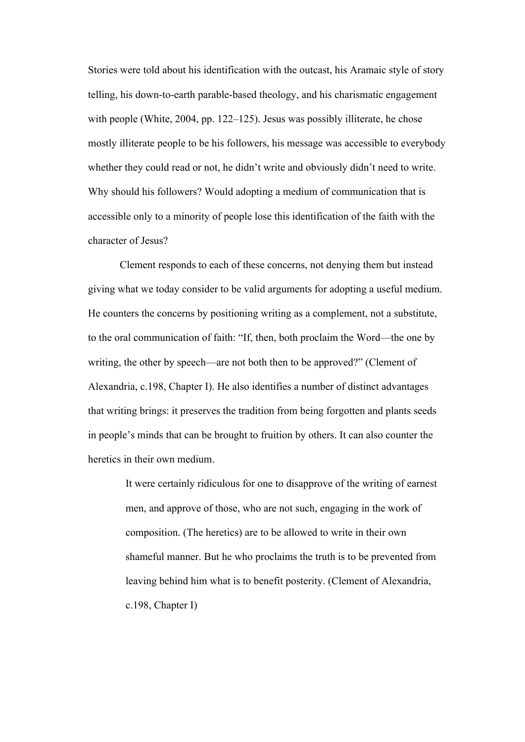Stories were told about his identification with the outcast, his Aramaic style of story telling, his down-to-earth parable-based theology, and his charismatic engagement with people (White, 2004, pp. 122–125). Jesus was possibly illiterate, he chose mostly illiterate people to be his followers, his message was accessible to everybody whether they could read or not, he didn't write and obviously didn't need to write. Why should his followers? Would adopting a medium of communication that is accessible only to a minority of people lose this identification of the faith with the character of Jesus?

Clement responds to each of these concerns, not denying them but instead giving what we today consider to be valid arguments for adopting a useful medium. He counters the concerns by positioning writing as a complement, not a substitute, to the oral communication of faith: "If, then, both proclaim the Word—the one by writing, the other by speech—are not both then to be approved?" (Clement of Alexandria, c.198, Chapter I). He also identifies a number of distinct advantages that writing brings: it preserves the tradition from being forgotten and plants seeds in people's minds that can be brought to fruition by others. It can also counter the heretics in their own medium.

> It were certainly ridiculous for one to disapprove of the writing of earnest men, and approve of those, who are not such, engaging in the work of composition. (The heretics) are to be allowed to write in their own shameful manner. But he who proclaims the truth is to be prevented from leaving behind him what is to benefit posterity. (Clement of Alexandria, c.198, Chapter I)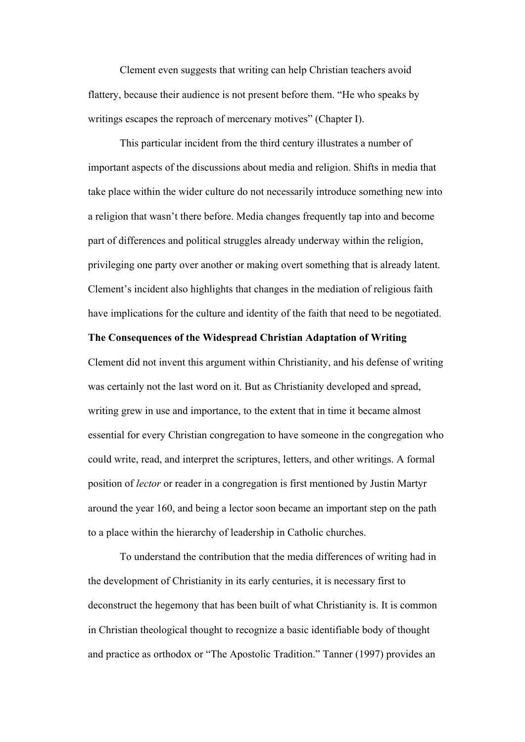Clement even suggests that writing can help Christian teachers avoid flattery, because their audience is not present before them. "He who speaks by writings escapes the reproach of mercenary motives" (Chapter I).

This particular incident from the third century illustrates a number of important aspects of the discussions about media and religion. Shifts in media that take place within the wider culture do not necessarily introduce something new into a religion that wasn't there before. Media changes frequently tap into and become part of differences and political struggles already underway within the religion, privileging one party over another or making overt something that is already latent. Clement's incident also highlights that changes in the mediation of religious faith have implications for the culture and identity of the faith that need to be negotiated.

## **The Consequences of the Widespread Christian Adaptation of Writing**

Clement did not invent this argument within Christianity, and his defense of writing was certainly not the last word on it. But as Christianity developed and spread, writing grew in use and importance, to the extent that in time it became almost essential for every Christian congregation to have someone in the congregation who could write, read, and interpret the scriptures, letters, and other writings. A formal position of *lector* or reader in a congregation is first mentioned by Justin Martyr around the year 160, and being a lector soon became an important step on the path to a place within the hierarchy of leadership in Catholic churches.

To understand the contribution that the media differences of writing had in the development of Christianity in its early centuries, it is necessary first to deconstruct the hegemony that has been built of what Christianity is. It is common in Christian theological thought to recognize a basic identifiable body of thought and practice as orthodox or "The Apostolic Tradition." Tanner (1997) provides an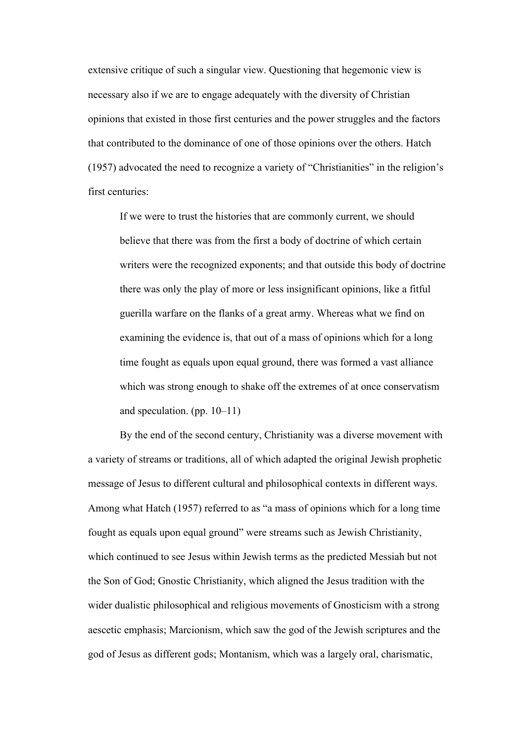extensive critique of such a singular view. Questioning that hegemonic view is necessary also if we are to engage adequately with the diversity of Christian opinions that existed in those first centuries and the power struggles and the factors that contributed to the dominance of one of those opinions over the others. Hatch (1957) advocated the need to recognize a variety of "Christianities" in the religion's first centuries:

If we were to trust the histories that are commonly current, we should believe that there was from the first a body of doctrine of which certain writers were the recognized exponents; and that outside this body of doctrine there was only the play of more or less insignificant opinions, like a fitful guerilla warfare on the flanks of a great army. Whereas what we find on examining the evidence is, that out of a mass of opinions which for a long time fought as equals upon equal ground, there was formed a vast alliance which was strong enough to shake off the extremes of at once conservatism and speculation. (pp. 10–11)

By the end of the second century, Christianity was a diverse movement with a variety of streams or traditions, all of which adapted the original Jewish prophetic message of Jesus to different cultural and philosophical contexts in different ways. Among what Hatch (1957) referred to as "a mass of opinions which for a long time fought as equals upon equal ground" were streams such as Jewish Christianity, which continued to see Jesus within Jewish terms as the predicted Messiah but not the Son of God; Gnostic Christianity, which aligned the Jesus tradition with the wider dualistic philosophical and religious movements of Gnosticism with a strong aescetic emphasis; Marcionism, which saw the god of the Jewish scriptures and the god of Jesus as different gods; Montanism, which was a largely oral, charismatic,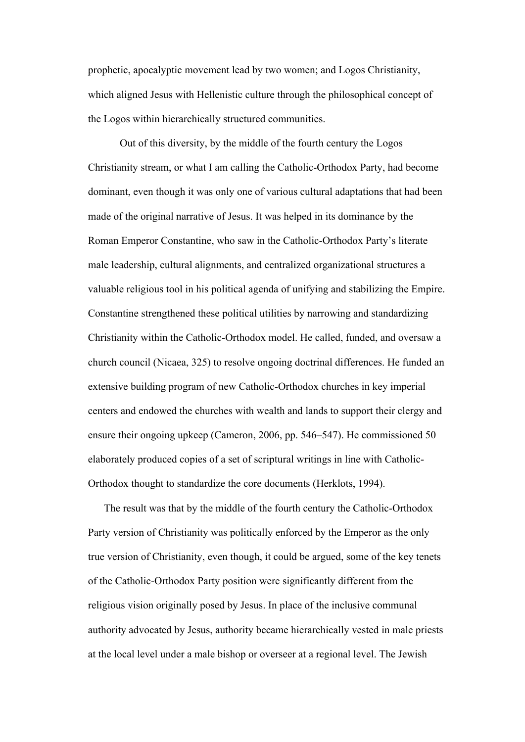prophetic, apocalyptic movement lead by two women; and Logos Christianity, which aligned Jesus with Hellenistic culture through the philosophical concept of the Logos within hierarchically structured communities.

Out of this diversity, by the middle of the fourth century the Logos Christianity stream, or what I am calling the Catholic-Orthodox Party, had become dominant, even though it was only one of various cultural adaptations that had been made of the original narrative of Jesus. It was helped in its dominance by the Roman Emperor Constantine, who saw in the Catholic-Orthodox Party's literate male leadership, cultural alignments, and centralized organizational structures a valuable religious tool in his political agenda of unifying and stabilizing the Empire. Constantine strengthened these political utilities by narrowing and standardizing Christianity within the Catholic-Orthodox model. He called, funded, and oversaw a church council (Nicaea, 325) to resolve ongoing doctrinal differences. He funded an extensive building program of new Catholic-Orthodox churches in key imperial centers and endowed the churches with wealth and lands to support their clergy and ensure their ongoing upkeep (Cameron, 2006, pp. 546–547). He commissioned 50 elaborately produced copies of a set of scriptural writings in line with Catholic-Orthodox thought to standardize the core documents (Herklots, 1994).

The result was that by the middle of the fourth century the Catholic-Orthodox Party version of Christianity was politically enforced by the Emperor as the only true version of Christianity, even though, it could be argued, some of the key tenets of the Catholic-Orthodox Party position were significantly different from the religious vision originally posed by Jesus. In place of the inclusive communal authority advocated by Jesus, authority became hierarchically vested in male priests at the local level under a male bishop or overseer at a regional level. The Jewish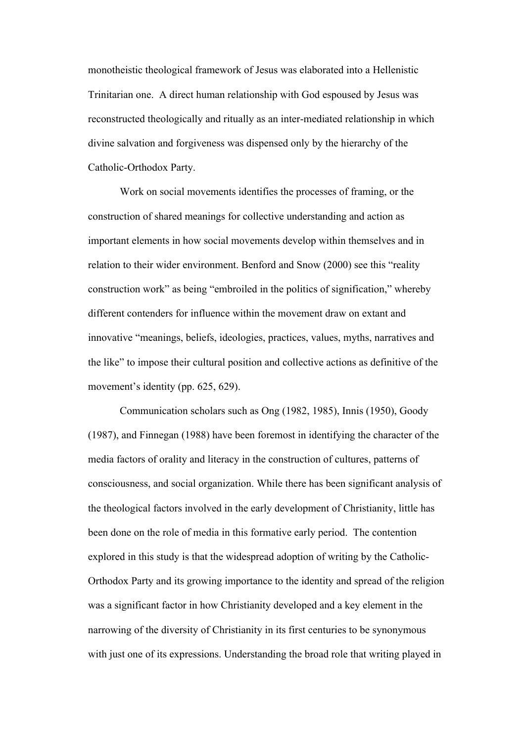monotheistic theological framework of Jesus was elaborated into a Hellenistic Trinitarian one. A direct human relationship with God espoused by Jesus was reconstructed theologically and ritually as an inter-mediated relationship in which divine salvation and forgiveness was dispensed only by the hierarchy of the Catholic-Orthodox Party.

Work on social movements identifies the processes of framing, or the construction of shared meanings for collective understanding and action as important elements in how social movements develop within themselves and in relation to their wider environment. Benford and Snow (2000) see this "reality construction work" as being "embroiled in the politics of signification," whereby different contenders for influence within the movement draw on extant and innovative "meanings, beliefs, ideologies, practices, values, myths, narratives and the like" to impose their cultural position and collective actions as definitive of the movement's identity (pp. 625, 629).

Communication scholars such as Ong (1982, 1985), Innis (1950), Goody (1987), and Finnegan (1988) have been foremost in identifying the character of the media factors of orality and literacy in the construction of cultures, patterns of consciousness, and social organization. While there has been significant analysis of the theological factors involved in the early development of Christianity, little has been done on the role of media in this formative early period. The contention explored in this study is that the widespread adoption of writing by the Catholic-Orthodox Party and its growing importance to the identity and spread of the religion was a significant factor in how Christianity developed and a key element in the narrowing of the diversity of Christianity in its first centuries to be synonymous with just one of its expressions. Understanding the broad role that writing played in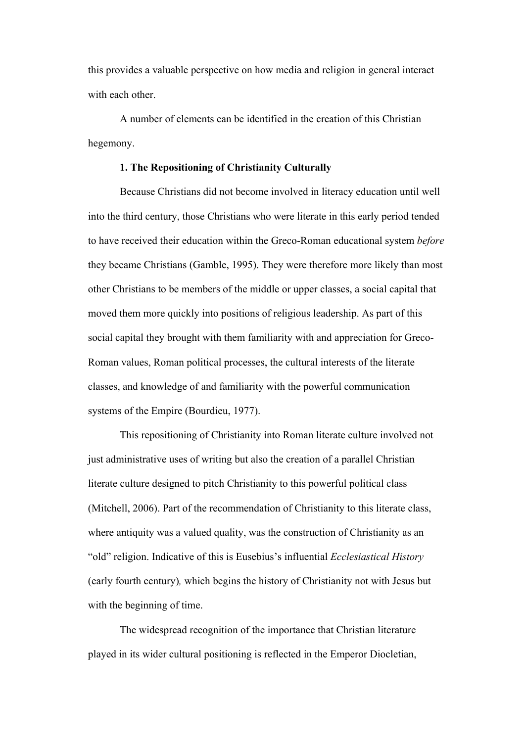this provides a valuable perspective on how media and religion in general interact with each other

A number of elements can be identified in the creation of this Christian hegemony.

#### **1. The Repositioning of Christianity Culturally**

Because Christians did not become involved in literacy education until well into the third century, those Christians who were literate in this early period tended to have received their education within the Greco-Roman educational system *before* they became Christians (Gamble, 1995). They were therefore more likely than most other Christians to be members of the middle or upper classes, a social capital that moved them more quickly into positions of religious leadership. As part of this social capital they brought with them familiarity with and appreciation for Greco-Roman values, Roman political processes, the cultural interests of the literate classes, and knowledge of and familiarity with the powerful communication systems of the Empire (Bourdieu, 1977).

This repositioning of Christianity into Roman literate culture involved not just administrative uses of writing but also the creation of a parallel Christian literate culture designed to pitch Christianity to this powerful political class (Mitchell, 2006). Part of the recommendation of Christianity to this literate class, where antiquity was a valued quality, was the construction of Christianity as an "old" religion. Indicative of this is Eusebius's influential *Ecclesiastical History*  (early fourth century)*,* which begins the history of Christianity not with Jesus but with the beginning of time.

The widespread recognition of the importance that Christian literature played in its wider cultural positioning is reflected in the Emperor Diocletian,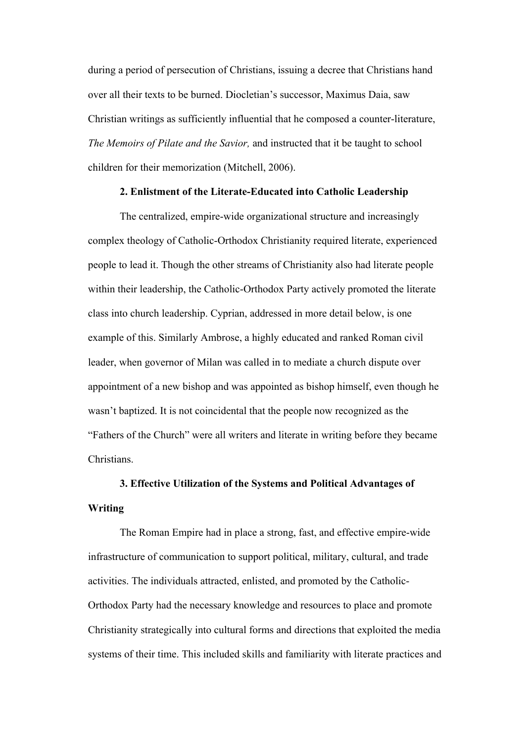during a period of persecution of Christians, issuing a decree that Christians hand over all their texts to be burned. Diocletian's successor, Maximus Daia, saw Christian writings as sufficiently influential that he composed a counter-literature, *The Memoirs of Pilate and the Savior,* and instructed that it be taught to school children for their memorization (Mitchell, 2006).

## **2. Enlistment of the Literate-Educated into Catholic Leadership**

The centralized, empire-wide organizational structure and increasingly complex theology of Catholic-Orthodox Christianity required literate, experienced people to lead it. Though the other streams of Christianity also had literate people within their leadership, the Catholic-Orthodox Party actively promoted the literate class into church leadership. Cyprian, addressed in more detail below, is one example of this. Similarly Ambrose, a highly educated and ranked Roman civil leader, when governor of Milan was called in to mediate a church dispute over appointment of a new bishop and was appointed as bishop himself, even though he wasn't baptized. It is not coincidental that the people now recognized as the "Fathers of the Church" were all writers and literate in writing before they became **Christians** 

# **3. Effective Utilization of the Systems and Political Advantages of Writing**

The Roman Empire had in place a strong, fast, and effective empire-wide infrastructure of communication to support political, military, cultural, and trade activities. The individuals attracted, enlisted, and promoted by the Catholic-Orthodox Party had the necessary knowledge and resources to place and promote Christianity strategically into cultural forms and directions that exploited the media systems of their time. This included skills and familiarity with literate practices and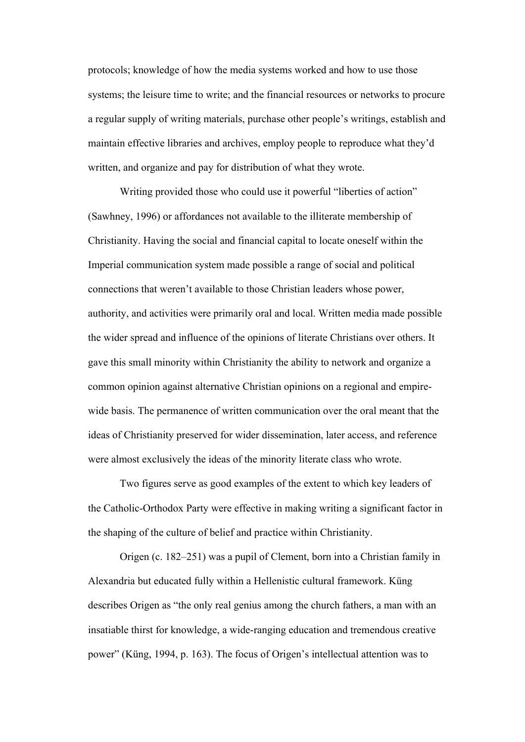protocols; knowledge of how the media systems worked and how to use those systems; the leisure time to write; and the financial resources or networks to procure a regular supply of writing materials, purchase other people's writings, establish and maintain effective libraries and archives, employ people to reproduce what they'd written, and organize and pay for distribution of what they wrote.

Writing provided those who could use it powerful "liberties of action" (Sawhney, 1996) or affordances not available to the illiterate membership of Christianity. Having the social and financial capital to locate oneself within the Imperial communication system made possible a range of social and political connections that weren't available to those Christian leaders whose power, authority, and activities were primarily oral and local. Written media made possible the wider spread and influence of the opinions of literate Christians over others. It gave this small minority within Christianity the ability to network and organize a common opinion against alternative Christian opinions on a regional and empirewide basis. The permanence of written communication over the oral meant that the ideas of Christianity preserved for wider dissemination, later access, and reference were almost exclusively the ideas of the minority literate class who wrote.

Two figures serve as good examples of the extent to which key leaders of the Catholic-Orthodox Party were effective in making writing a significant factor in the shaping of the culture of belief and practice within Christianity.

Origen (c. 182–251) was a pupil of Clement, born into a Christian family in Alexandria but educated fully within a Hellenistic cultural framework. Küng describes Origen as "the only real genius among the church fathers, a man with an insatiable thirst for knowledge, a wide-ranging education and tremendous creative power" (Küng, 1994, p. 163). The focus of Origen's intellectual attention was to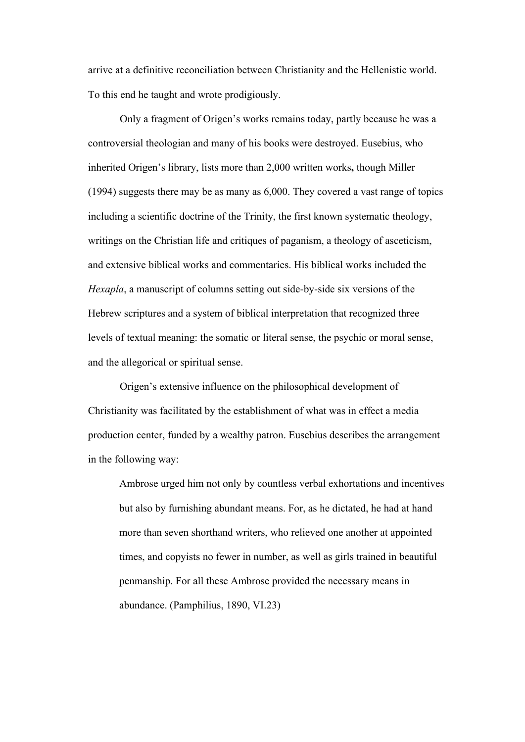arrive at a definitive reconciliation between Christianity and the Hellenistic world. To this end he taught and wrote prodigiously.

Only a fragment of Origen's works remains today, partly because he was a controversial theologian and many of his books were destroyed. Eusebius, who inherited Origen's library, lists more than 2,000 written works**,** though Miller (1994) suggests there may be as many as 6,000. They covered a vast range of topics including a scientific doctrine of the Trinity, the first known systematic theology, writings on the Christian life and critiques of paganism, a theology of asceticism, and extensive biblical works and commentaries. His biblical works included the *Hexapla*, a manuscript of columns setting out side-by-side six versions of the Hebrew scriptures and a system of biblical interpretation that recognized three levels of textual meaning: the somatic or literal sense, the psychic or moral sense, and the allegorical or spiritual sense.

Origen's extensive influence on the philosophical development of Christianity was facilitated by the establishment of what was in effect a media production center, funded by a wealthy patron. Eusebius describes the arrangement in the following way:

Ambrose urged him not only by countless verbal exhortations and incentives but also by furnishing abundant means. For, as he dictated, he had at hand more than seven shorthand writers, who relieved one another at appointed times, and copyists no fewer in number, as well as girls trained in beautiful penmanship. For all these Ambrose provided the necessary means in abundance. (Pamphilius, 1890, VI.23)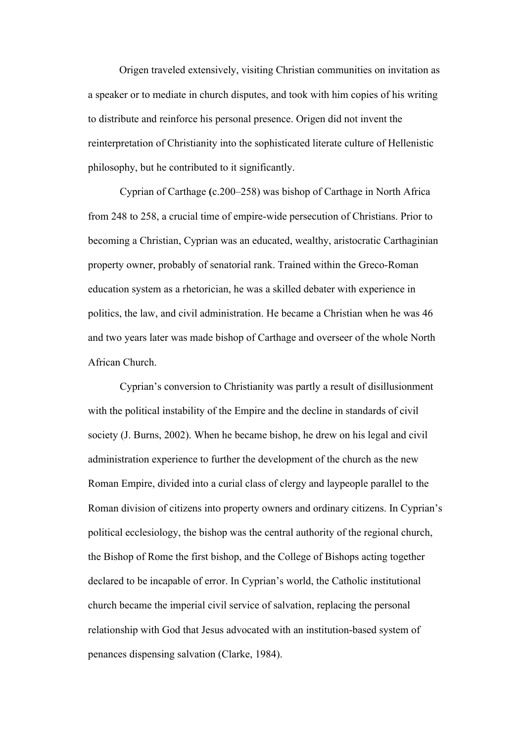Origen traveled extensively, visiting Christian communities on invitation as a speaker or to mediate in church disputes, and took with him copies of his writing to distribute and reinforce his personal presence. Origen did not invent the reinterpretation of Christianity into the sophisticated literate culture of Hellenistic philosophy, but he contributed to it significantly.

Cyprian of Carthage **(**c.200–258) was bishop of Carthage in North Africa from 248 to 258, a crucial time of empire-wide persecution of Christians. Prior to becoming a Christian, Cyprian was an educated, wealthy, aristocratic Carthaginian property owner, probably of senatorial rank. Trained within the Greco-Roman education system as a rhetorician, he was a skilled debater with experience in politics, the law, and civil administration. He became a Christian when he was 46 and two years later was made bishop of Carthage and overseer of the whole North African Church.

Cyprian's conversion to Christianity was partly a result of disillusionment with the political instability of the Empire and the decline in standards of civil society (J. Burns, 2002). When he became bishop, he drew on his legal and civil administration experience to further the development of the church as the new Roman Empire, divided into a curial class of clergy and laypeople parallel to the Roman division of citizens into property owners and ordinary citizens. In Cyprian's political ecclesiology, the bishop was the central authority of the regional church, the Bishop of Rome the first bishop, and the College of Bishops acting together declared to be incapable of error. In Cyprian's world, the Catholic institutional church became the imperial civil service of salvation, replacing the personal relationship with God that Jesus advocated with an institution-based system of penances dispensing salvation (Clarke, 1984).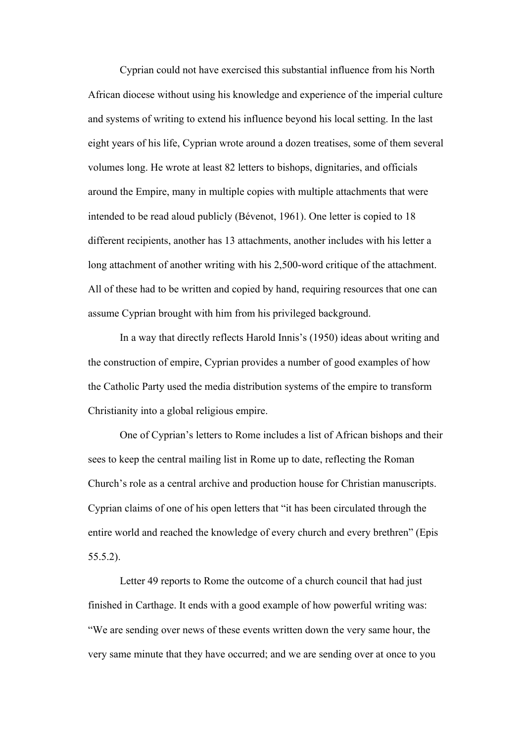Cyprian could not have exercised this substantial influence from his North African diocese without using his knowledge and experience of the imperial culture and systems of writing to extend his influence beyond his local setting. In the last eight years of his life, Cyprian wrote around a dozen treatises, some of them several volumes long. He wrote at least 82 letters to bishops, dignitaries, and officials around the Empire, many in multiple copies with multiple attachments that were intended to be read aloud publicly (Bévenot, 1961). One letter is copied to 18 different recipients, another has 13 attachments, another includes with his letter a long attachment of another writing with his 2,500-word critique of the attachment. All of these had to be written and copied by hand, requiring resources that one can assume Cyprian brought with him from his privileged background.

In a way that directly reflects Harold Innis's (1950) ideas about writing and the construction of empire, Cyprian provides a number of good examples of how the Catholic Party used the media distribution systems of the empire to transform Christianity into a global religious empire.

One of Cyprian's letters to Rome includes a list of African bishops and their sees to keep the central mailing list in Rome up to date, reflecting the Roman Church's role as a central archive and production house for Christian manuscripts. Cyprian claims of one of his open letters that "it has been circulated through the entire world and reached the knowledge of every church and every brethren" (Epis 55.5.2).

Letter 49 reports to Rome the outcome of a church council that had just finished in Carthage. It ends with a good example of how powerful writing was: "We are sending over news of these events written down the very same hour, the very same minute that they have occurred; and we are sending over at once to you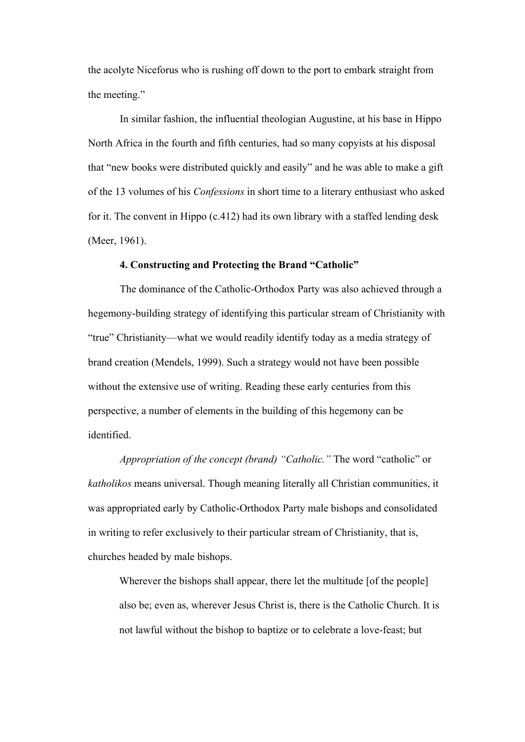the acolyte Niceforus who is rushing off down to the port to embark straight from the meeting."

In similar fashion, the influential theologian Augustine, at his base in Hippo North Africa in the fourth and fifth centuries, had so many copyists at his disposal that "new books were distributed quickly and easily" and he was able to make a gift of the 13 volumes of his *Confessions* in short time to a literary enthusiast who asked for it. The convent in Hippo (c.412) had its own library with a staffed lending desk (Meer, 1961).

## **4. Constructing and Protecting the Brand "Catholic"**

The dominance of the Catholic-Orthodox Party was also achieved through a hegemony-building strategy of identifying this particular stream of Christianity with "true" Christianity—what we would readily identify today as a media strategy of brand creation (Mendels, 1999). Such a strategy would not have been possible without the extensive use of writing. Reading these early centuries from this perspective, a number of elements in the building of this hegemony can be identified.

*Appropriation of the concept (brand) "Catholic."* The word "catholic" or *katholikos* means universal. Though meaning literally all Christian communities, it was appropriated early by Catholic-Orthodox Party male bishops and consolidated in writing to refer exclusively to their particular stream of Christianity, that is, churches headed by male bishops.

Wherever the bishops shall appear, there let the multitude [of the people] also be; even as, wherever Jesus Christ is, there is the Catholic Church. It is not lawful without the bishop to baptize or to celebrate a love-feast; but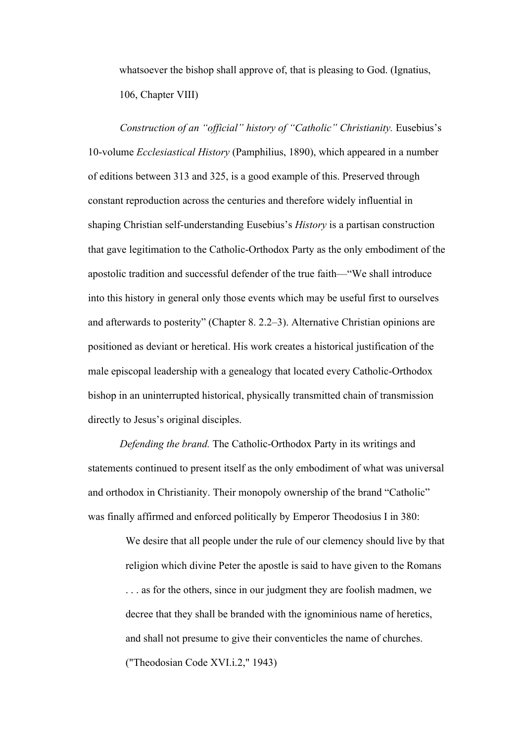whatsoever the bishop shall approve of, that is pleasing to God. (Ignatius, 106, Chapter VIII)

*Construction of an "official" history of "Catholic" Christianity.* Eusebius's 10-volume *Ecclesiastical History* (Pamphilius, 1890), which appeared in a number of editions between 313 and 325, is a good example of this. Preserved through constant reproduction across the centuries and therefore widely influential in shaping Christian self-understanding Eusebius's *History* is a partisan construction that gave legitimation to the Catholic-Orthodox Party as the only embodiment of the apostolic tradition and successful defender of the true faith—"We shall introduce into this history in general only those events which may be useful first to ourselves and afterwards to posterity" (Chapter 8. 2.2–3). Alternative Christian opinions are positioned as deviant or heretical. His work creates a historical justification of the male episcopal leadership with a genealogy that located every Catholic-Orthodox bishop in an uninterrupted historical, physically transmitted chain of transmission directly to Jesus's original disciples.

*Defending the brand.* The Catholic-Orthodox Party in its writings and statements continued to present itself as the only embodiment of what was universal and orthodox in Christianity. Their monopoly ownership of the brand "Catholic" was finally affirmed and enforced politically by Emperor Theodosius I in 380:

> We desire that all people under the rule of our clemency should live by that religion which divine Peter the apostle is said to have given to the Romans . . . as for the others, since in our judgment they are foolish madmen, we decree that they shall be branded with the ignominious name of heretics, and shall not presume to give their conventicles the name of churches. ("Theodosian Code XVI.i.2," 1943)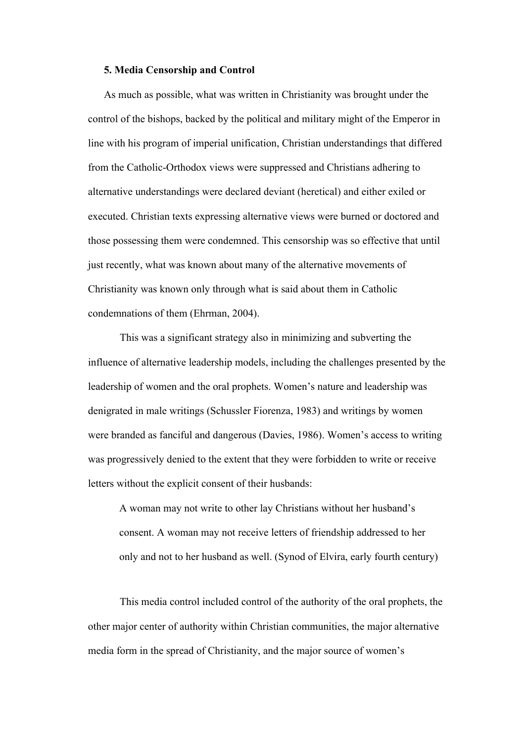#### **5. Media Censorship and Control**

As much as possible, what was written in Christianity was brought under the control of the bishops, backed by the political and military might of the Emperor in line with his program of imperial unification, Christian understandings that differed from the Catholic-Orthodox views were suppressed and Christians adhering to alternative understandings were declared deviant (heretical) and either exiled or executed. Christian texts expressing alternative views were burned or doctored and those possessing them were condemned. This censorship was so effective that until just recently, what was known about many of the alternative movements of Christianity was known only through what is said about them in Catholic condemnations of them (Ehrman, 2004).

This was a significant strategy also in minimizing and subverting the influence of alternative leadership models, including the challenges presented by the leadership of women and the oral prophets. Women's nature and leadership was denigrated in male writings (Schussler Fiorenza, 1983) and writings by women were branded as fanciful and dangerous (Davies, 1986). Women's access to writing was progressively denied to the extent that they were forbidden to write or receive letters without the explicit consent of their husbands:

A woman may not write to other lay Christians without her husband's consent. A woman may not receive letters of friendship addressed to her only and not to her husband as well. (Synod of Elvira, early fourth century)

This media control included control of the authority of the oral prophets, the other major center of authority within Christian communities, the major alternative media form in the spread of Christianity, and the major source of women's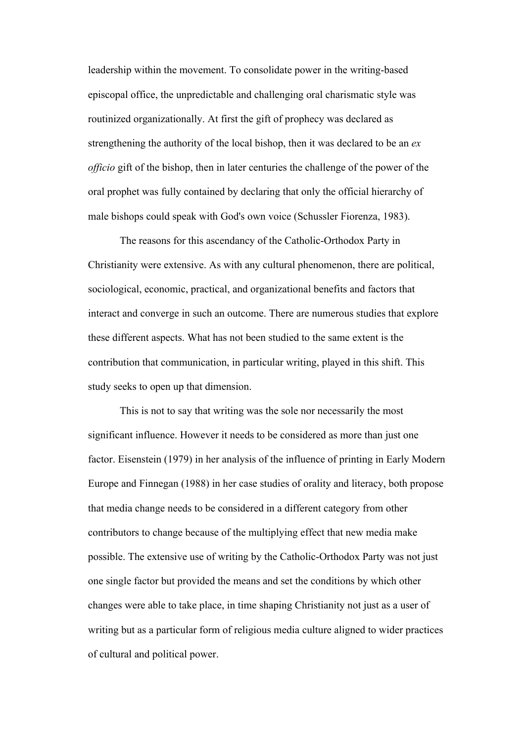leadership within the movement. To consolidate power in the writing-based episcopal office, the unpredictable and challenging oral charismatic style was routinized organizationally. At first the gift of prophecy was declared as strengthening the authority of the local bishop, then it was declared to be an *ex officio* gift of the bishop, then in later centuries the challenge of the power of the oral prophet was fully contained by declaring that only the official hierarchy of male bishops could speak with God's own voice (Schussler Fiorenza, 1983).

The reasons for this ascendancy of the Catholic-Orthodox Party in Christianity were extensive. As with any cultural phenomenon, there are political, sociological, economic, practical, and organizational benefits and factors that interact and converge in such an outcome. There are numerous studies that explore these different aspects. What has not been studied to the same extent is the contribution that communication, in particular writing, played in this shift. This study seeks to open up that dimension.

This is not to say that writing was the sole nor necessarily the most significant influence. However it needs to be considered as more than just one factor. Eisenstein (1979) in her analysis of the influence of printing in Early Modern Europe and Finnegan (1988) in her case studies of orality and literacy, both propose that media change needs to be considered in a different category from other contributors to change because of the multiplying effect that new media make possible. The extensive use of writing by the Catholic-Orthodox Party was not just one single factor but provided the means and set the conditions by which other changes were able to take place, in time shaping Christianity not just as a user of writing but as a particular form of religious media culture aligned to wider practices of cultural and political power.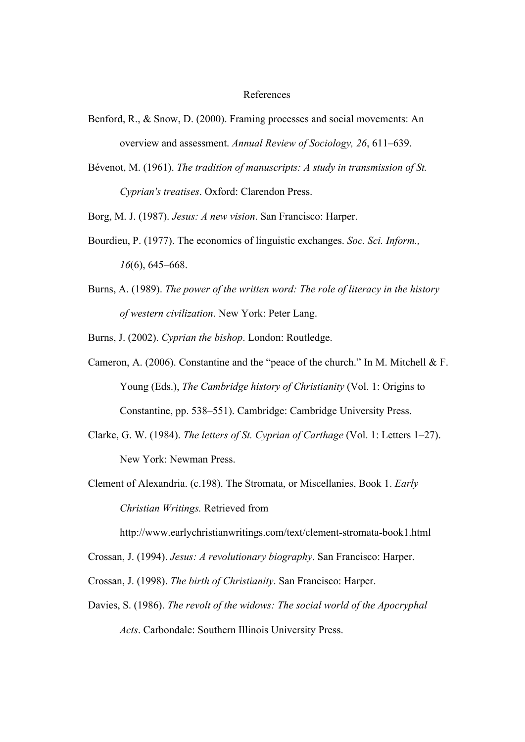#### References

- Benford, R., & Snow, D. (2000). Framing processes and social movements: An overview and assessment. *Annual Review of Sociology, 26*, 611–639.
- Bévenot, M. (1961). *The tradition of manuscripts: A study in transmission of St. Cyprian's treatises*. Oxford: Clarendon Press.
- Borg, M. J. (1987). *Jesus: A new vision*. San Francisco: Harper.
- Bourdieu, P. (1977). The economics of linguistic exchanges. *Soc. Sci. Inform., 16*(6), 645–668.
- Burns, A. (1989). *The power of the written word: The role of literacy in the history of western civilization*. New York: Peter Lang.
- Burns, J. (2002). *Cyprian the bishop*. London: Routledge.
- Cameron, A. (2006). Constantine and the "peace of the church." In M. Mitchell & F. Young (Eds.), *The Cambridge history of Christianity* (Vol. 1: Origins to Constantine, pp. 538–551). Cambridge: Cambridge University Press.
- Clarke, G. W. (1984). *The letters of St. Cyprian of Carthage* (Vol. 1: Letters 1–27). New York: Newman Press.
- Clement of Alexandria. (c.198). The Stromata, or Miscellanies, Book 1. *Early Christian Writings.* Retrieved from

http://www.earlychristianwritings.com/text/clement-stromata-book1.html

- Crossan, J. (1994). *Jesus: A revolutionary biography*. San Francisco: Harper.
- Crossan, J. (1998). *The birth of Christianity*. San Francisco: Harper.
- Davies, S. (1986). *The revolt of the widows: The social world of the Apocryphal Acts*. Carbondale: Southern Illinois University Press.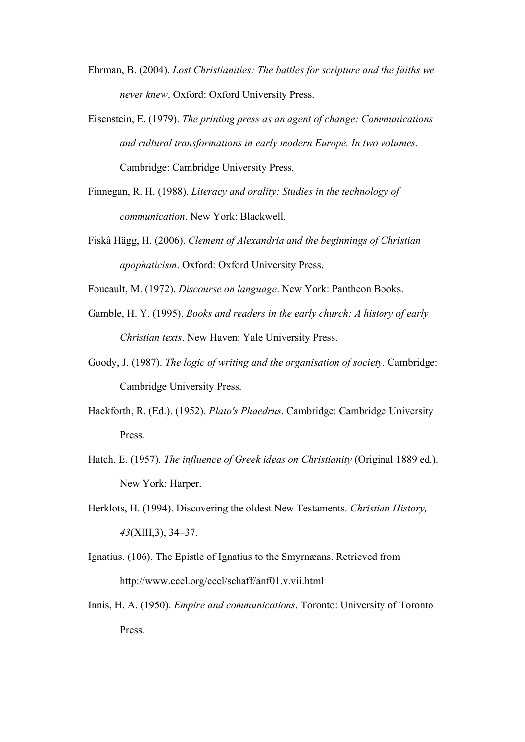- Ehrman, B. (2004). *Lost Christianities: The battles for scripture and the faiths we never knew*. Oxford: Oxford University Press.
- Eisenstein, E. (1979). *The printing press as an agent of change: Communications and cultural transformations in early modern Europe. In two volumes.* Cambridge: Cambridge University Press.
- Finnegan, R. H. (1988). *Literacy and orality: Studies in the technology of communication*. New York: Blackwell.
- Fiskå Hägg, H. (2006). *Clement of Alexandria and the beginnings of Christian apophaticism*. Oxford: Oxford University Press.

Foucault, M. (1972). *Discourse on language*. New York: Pantheon Books.

- Gamble, H. Y. (1995). *Books and readers in the early church: A history of early Christian texts*. New Haven: Yale University Press.
- Goody, J. (1987). *The logic of writing and the organisation of society*. Cambridge: Cambridge University Press.
- Hackforth, R. (Ed.). (1952). *Plato's Phaedrus*. Cambridge: Cambridge University Press.
- Hatch, E. (1957). *The influence of Greek ideas on Christianity* (Original 1889 ed.). New York: Harper.
- Herklots, H. (1994). Discovering the oldest New Testaments. *Christian History, 43*(XIII,3), 34–37.
- Ignatius. (106). The Epistle of Ignatius to the Smyrnæans. Retrieved from http://www.ccel.org/ccel/schaff/anf01.v.vii.html
- Innis, H. A. (1950). *Empire and communications*. Toronto: University of Toronto Press.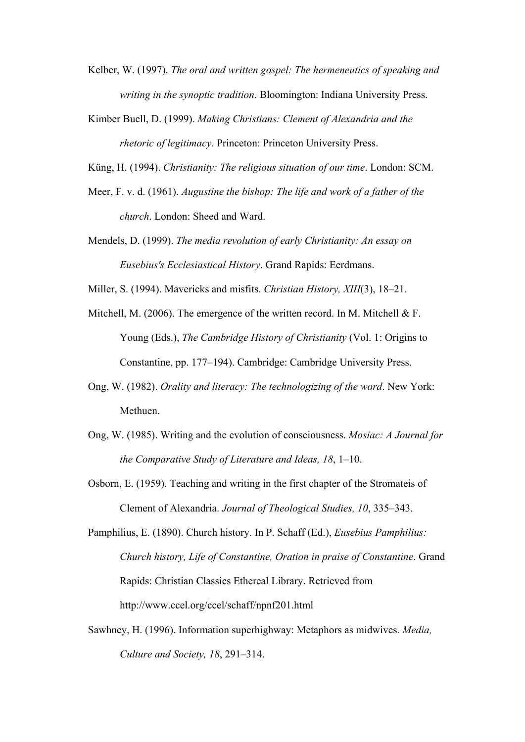- Kelber, W. (1997). *The oral and written gospel: The hermeneutics of speaking and writing in the synoptic tradition*. Bloomington: Indiana University Press.
- Kimber Buell, D. (1999). *Making Christians: Clement of Alexandria and the rhetoric of legitimacy*. Princeton: Princeton University Press.
- Küng, H. (1994). *Christianity: The religious situation of our time*. London: SCM.
- Meer, F. v. d. (1961). *Augustine the bishop: The life and work of a father of the church*. London: Sheed and Ward.
- Mendels, D. (1999). *The media revolution of early Christianity: An essay on Eusebius's Ecclesiastical History*. Grand Rapids: Eerdmans.

Miller, S. (1994). Mavericks and misfits. *Christian History, XIII*(3), 18–21.

- Mitchell, M. (2006). The emergence of the written record. In M. Mitchell & F. Young (Eds.), *The Cambridge History of Christianity* (Vol. 1: Origins to Constantine, pp. 177–194). Cambridge: Cambridge University Press.
- Ong, W. (1982). *Orality and literacy: The technologizing of the word*. New York: Methuen.
- Ong, W. (1985). Writing and the evolution of consciousness. *Mosiac: A Journal for the Comparative Study of Literature and Ideas, 18*, 1–10.
- Osborn, E. (1959). Teaching and writing in the first chapter of the Stromateis of Clement of Alexandria. *Journal of Theological Studies, 10*, 335–343.
- Pamphilius, E. (1890). Church history. In P. Schaff (Ed.), *Eusebius Pamphilius: Church history, Life of Constantine, Oration in praise of Constantine*. Grand Rapids: Christian Classics Ethereal Library. Retrieved from http://www.ccel.org/ccel/schaff/npnf201.html
- Sawhney, H. (1996). Information superhighway: Metaphors as midwives. *Media, Culture and Society, 18*, 291–314.